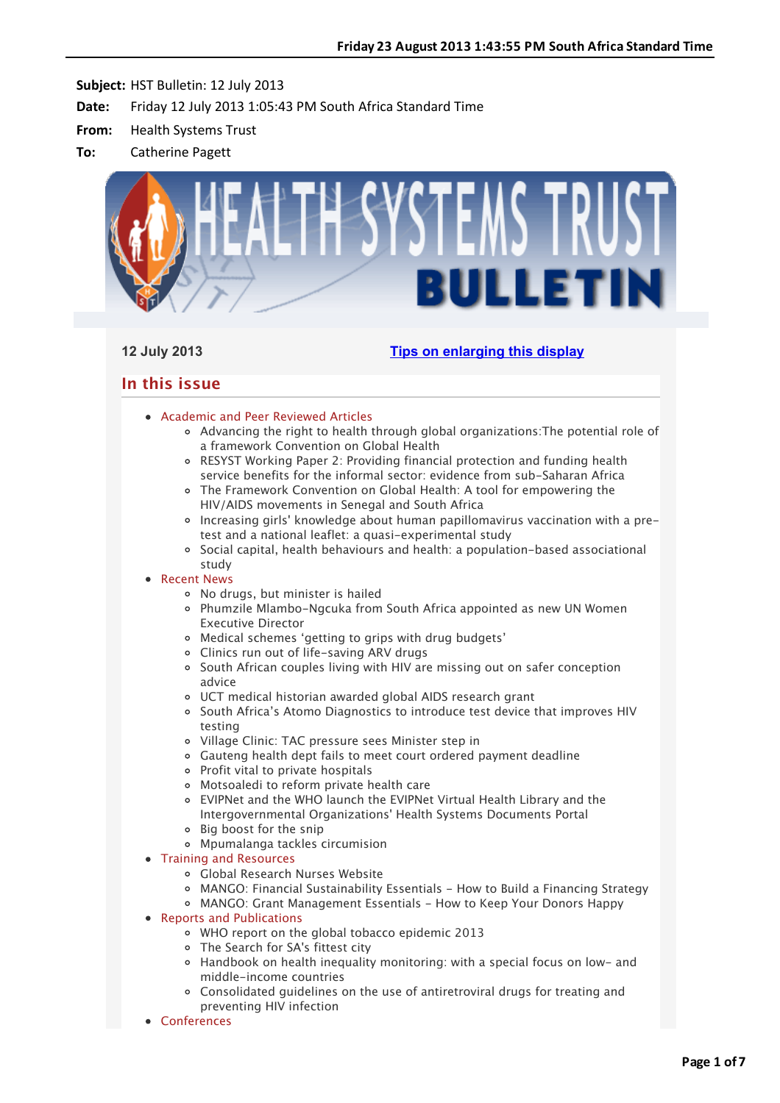

# **12 July 2013 [Tips on enlarging this display](http://bulletin.hst.org.za//lt.php?id=K09TClZUVQIOSlNRAUUHC1NR)**

# **In this issue**

- [Academic and Peer Reviewed Articles](applewebdata://B2751FF9-523A-44D4-8B16-A9B639964B17#Academic)
	- [Advancing the right to health through global organizations:The potential role of](applewebdata://B2751FF9-523A-44D4-8B16-A9B639964B17#A_1) a framework Convention on Global Health
	- [RESYST Working Paper 2: Providing financial protection and funding health](applewebdata://B2751FF9-523A-44D4-8B16-A9B639964B17#A_2) service benefits for the informal sector: evidence from sub-Saharan Africa
	- [The Framework Convention on Global Health: A tool for empowering the](applewebdata://B2751FF9-523A-44D4-8B16-A9B639964B17#A_3) HIV/AIDS movements in Senegal and South Africa
	- [Increasing girls' knowledge about human papillomavirus vaccination with a pre](applewebdata://B2751FF9-523A-44D4-8B16-A9B639964B17#A_4)test and a national leaflet: a quasi-experimental study
	- $\circ$  [Social capital, health behaviours and health: a population-based associational](applewebdata://B2751FF9-523A-44D4-8B16-A9B639964B17#A_5) study
- [Recent News](applewebdata://B2751FF9-523A-44D4-8B16-A9B639964B17#recent)
	- [No drugs, but minister is hailed](applewebdata://B2751FF9-523A-44D4-8B16-A9B639964B17#N_1)
	- [Phumzile Mlambo-Ngcuka from South Africa appointed as new UN Women](applewebdata://B2751FF9-523A-44D4-8B16-A9B639964B17#N_2) Executive Director
	- [Medical schemes 'getting to grips with drug budgets'](applewebdata://B2751FF9-523A-44D4-8B16-A9B639964B17#N_3)
	- [Clinics run out of life-saving ARV drugs](applewebdata://B2751FF9-523A-44D4-8B16-A9B639964B17#N_4)
	- [South African couples living with HIV are missing out on safer conception](applewebdata://B2751FF9-523A-44D4-8B16-A9B639964B17#N_5) advice
	- [UCT medical historian awarded global AIDS research grant](applewebdata://B2751FF9-523A-44D4-8B16-A9B639964B17#N_6)
	- [South Africa's Atomo Diagnostics to introduce test device that improves HIV](applewebdata://B2751FF9-523A-44D4-8B16-A9B639964B17#N_7) testing
	- [Village Clinic: TAC pressure sees Minister step in](applewebdata://B2751FF9-523A-44D4-8B16-A9B639964B17#N_8)
	- [Gauteng health dept fails to meet court ordered payment deadline](applewebdata://B2751FF9-523A-44D4-8B16-A9B639964B17#N_9)
	- o [Profit vital to private hospitals](applewebdata://B2751FF9-523A-44D4-8B16-A9B639964B17#N_10)
	- Motsoaledi to reform private health care
	- [EVIPNet and the WHO launch the EVIPNet Virtual Health Library and the](applewebdata://B2751FF9-523A-44D4-8B16-A9B639964B17#N_12) Intergovernmental Organizations' Health Systems Documents Portal
	- Big boost for the snip
	- Mpumalanga tackles circumision
- [Training and Resources](applewebdata://B2751FF9-523A-44D4-8B16-A9B639964B17#train)
	- [Global Research Nurses Website](applewebdata://B2751FF9-523A-44D4-8B16-A9B639964B17#T_1)
	- [MANGO: Financial Sustainability Essentials How to Build a Financing Strategy](applewebdata://B2751FF9-523A-44D4-8B16-A9B639964B17#T_2)
	- MANGO: Grant Management Essentials How to Keep Your Donors Happy
- [Reports and Publications](applewebdata://B2751FF9-523A-44D4-8B16-A9B639964B17#publications)
	- [WHO report on the global tobacco epidemic 2013](applewebdata://B2751FF9-523A-44D4-8B16-A9B639964B17#P_0)
	- [The Search for SA's fittest city](applewebdata://B2751FF9-523A-44D4-8B16-A9B639964B17#P_1)
	- [Handbook on health inequality monitoring: with a special focus on low- and](applewebdata://B2751FF9-523A-44D4-8B16-A9B639964B17#P_2) middle-income countries
	- [Consolidated guidelines on the use of antiretroviral drugs for treating and](applewebdata://B2751FF9-523A-44D4-8B16-A9B639964B17#P_3) preventing HIV infection
- [Conferences](applewebdata://B2751FF9-523A-44D4-8B16-A9B639964B17#conferences)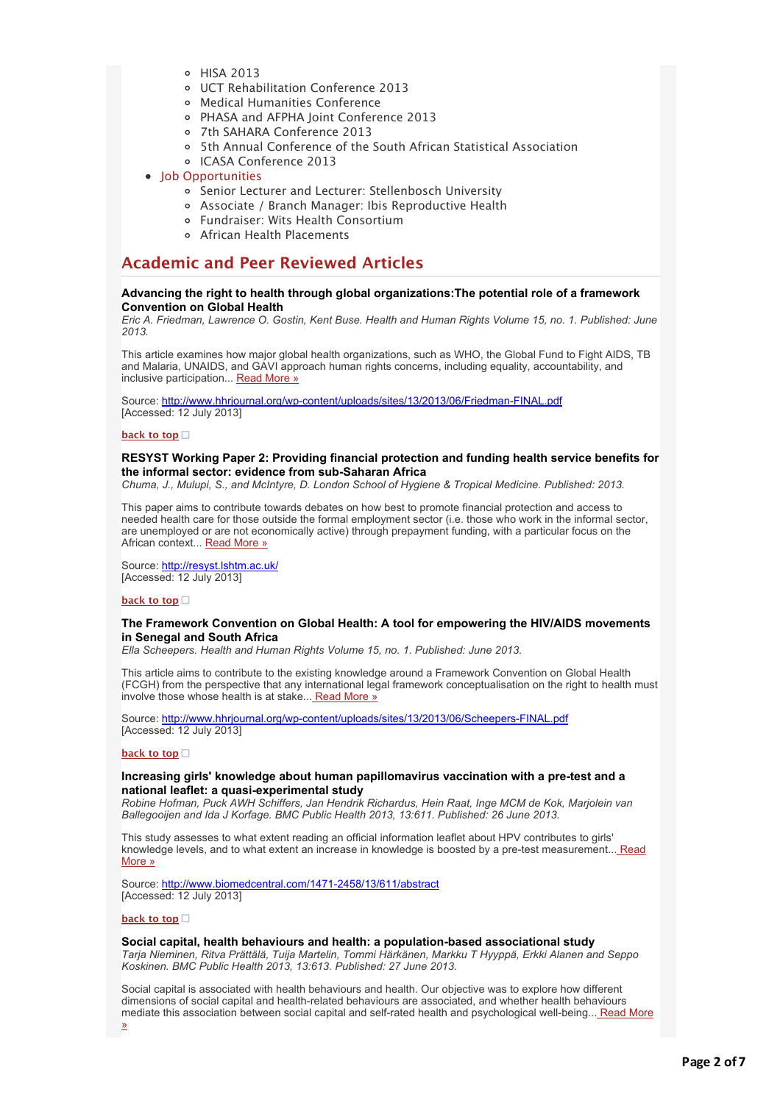- [HISA 2013](applewebdata://B2751FF9-523A-44D4-8B16-A9B639964B17#C_2)
- [UCT Rehabilitation Conference 2013](applewebdata://B2751FF9-523A-44D4-8B16-A9B639964B17#C_3)
- [Medical Humanities Conference](applewebdata://B2751FF9-523A-44D4-8B16-A9B639964B17#C_4)
- [PHASA and AFPHA Joint Conference 2013](applewebdata://B2751FF9-523A-44D4-8B16-A9B639964B17#C_5)
- [7th SAHARA Conference 2013](applewebdata://B2751FF9-523A-44D4-8B16-A9B639964B17#C_6)
- [5th Annual Conference of the South African Statistical Association](applewebdata://B2751FF9-523A-44D4-8B16-A9B639964B17#C_7)
- [ICASA Conference 2013](applewebdata://B2751FF9-523A-44D4-8B16-A9B639964B17#C_8)
- [Job Opportunities](applewebdata://B2751FF9-523A-44D4-8B16-A9B639964B17#jobs)
	- [Senior Lecturer and Lecturer: Stellenbosch University](applewebdata://B2751FF9-523A-44D4-8B16-A9B639964B17#J_1)
	- [Associate / Branch Manager: Ibis Reproductive Health](applewebdata://B2751FF9-523A-44D4-8B16-A9B639964B17#J_2)
	- [Fundraiser: Wits Health Consortium](applewebdata://B2751FF9-523A-44D4-8B16-A9B639964B17#J_3)
	- [African Health Placements](applewebdata://B2751FF9-523A-44D4-8B16-A9B639964B17#J_0)

# **Academic and Peer Reviewed Articles**

# **Advancing the right to health through global organizations:The potential role of a framework Convention on Global Health**

*Eric A. Friedman, Lawrence O. Gostin, Kent Buse. Health and Human Rights Volume 15, no. 1. Published: June 2013.*

This article examines how major global health organizations, such as WHO, the Global Fund to Fight AIDS, TB and Malaria, UNAIDS, and GAVI approach human rights concerns, including equality, accountability, and inclusive participation... [Read More »](http://bulletin.hst.org.za//lt.php?id=K09TClZUVQMESlNRAUUHC1NR)

Source: [http://www.hhrjournal.org/wp-content/uploads/sites/13/2013/06/Friedman-FINAL.pdf](http://bulletin.hst.org.za//lt.php?id=K09TClZUVQMESlNRAUUHC1NR) [Accessed: 12 July 2013]

#### **[back to top](applewebdata://B2751FF9-523A-44D4-8B16-A9B639964B17#top)**

# **RESYST Working Paper 2: Providing financial protection and funding health service benefits for the informal sector: evidence from sub-Saharan Africa**

*Chuma, J., Mulupi, S., and McIntyre, D. London School of Hygiene & Tropical Medicine. Published: 2013.*

This paper aims to contribute towards debates on how best to promote financial protection and access to needed health care for those outside the formal employment sector (i.e. those who work in the informal sector, are unemployed or are not economically active) through prepayment funding, with a particular focus on the African context... [Read More »](http://bulletin.hst.org.za//lt.php?id=K09TClZUVQMDSlNRAUUHC1NR)

Source: [http://resyst.lshtm.ac.uk/](http://bulletin.hst.org.za//lt.php?id=K09TClZUVQMDSlNRAUUHC1NR) [Accessed: 12 July 2013]

#### **[back to top](applewebdata://B2751FF9-523A-44D4-8B16-A9B639964B17#top)**

### **The Framework Convention on Global Health: A tool for empowering the HIV/AIDS movements in Senegal and South Africa**

*Ella Scheepers. Health and Human Rights Volume 15, no. 1. Published: June 2013.*

This article aims to contribute to the existing knowledge around a Framework Convention on Global Health (FCGH) from the perspective that any international legal framework conceptualisation on the right to health must involve those whose health is at stake..[. Read More »](http://bulletin.hst.org.za//lt.php?id=K09TClZUVQMHSlNRAUUHC1NR)

Source: [http://www.hhrjournal.org/wp-content/uploads/sites/13/2013/06/Scheepers-FINAL.pdf](http://bulletin.hst.org.za//lt.php?id=K09TClZUVQMHSlNRAUUHC1NR) [Accessed: 12 July 2013]

# **[back to top](applewebdata://B2751FF9-523A-44D4-8B16-A9B639964B17#top)**

#### **Increasing girls' knowledge about human papillomavirus vaccination with a pre-test and a national leaflet: a quasi-experimental study**

*Robine Hofman, Puck AWH Schiffers, Jan Hendrik Richardus, Hein Raat, Inge MCM de Kok, Marjolein van Ballegooijen and Ida J Korfage. BMC Public Health 2013, 13:611. Published: 26 June 2013.*

This study assesses to what extent reading an official information leaflet about HPV contributes to girls' [knowledge levels, and to what extent an increase in knowledge is boosted by a pre-test measurement... Read](http://bulletin.hst.org.za//lt.php?id=K09TClZUVQMGSlNRAUUHC1NR) More »

Source: [http://www.biomedcentral.com/1471-2458/13/611/abstract](http://bulletin.hst.org.za//lt.php?id=K09TClZUVQMGSlNRAUUHC1NR) [Accessed: 12 July 2013]

#### **[back to top](applewebdata://B2751FF9-523A-44D4-8B16-A9B639964B17#top)**

# **Social capital, health behaviours and health: a population-based associational study**

*Tarja Nieminen, Ritva Prättälä, Tuija Martelin, Tommi Härkänen, Markku T Hyyppä, Erkki Alanen and Seppo Koskinen. BMC Public Health 2013, 13:613. Published: 27 June 2013.*

Social capital is associated with health behaviours and health. Our objective was to explore how different dimensions of social capital and health-related behaviours are associated, and whether health behaviours [mediate this association between social capital and self-rated health and psychological well-being...](http://bulletin.hst.org.za//lt.php?id=K09TClZUVQMFSlNRAUUHC1NR) Read More »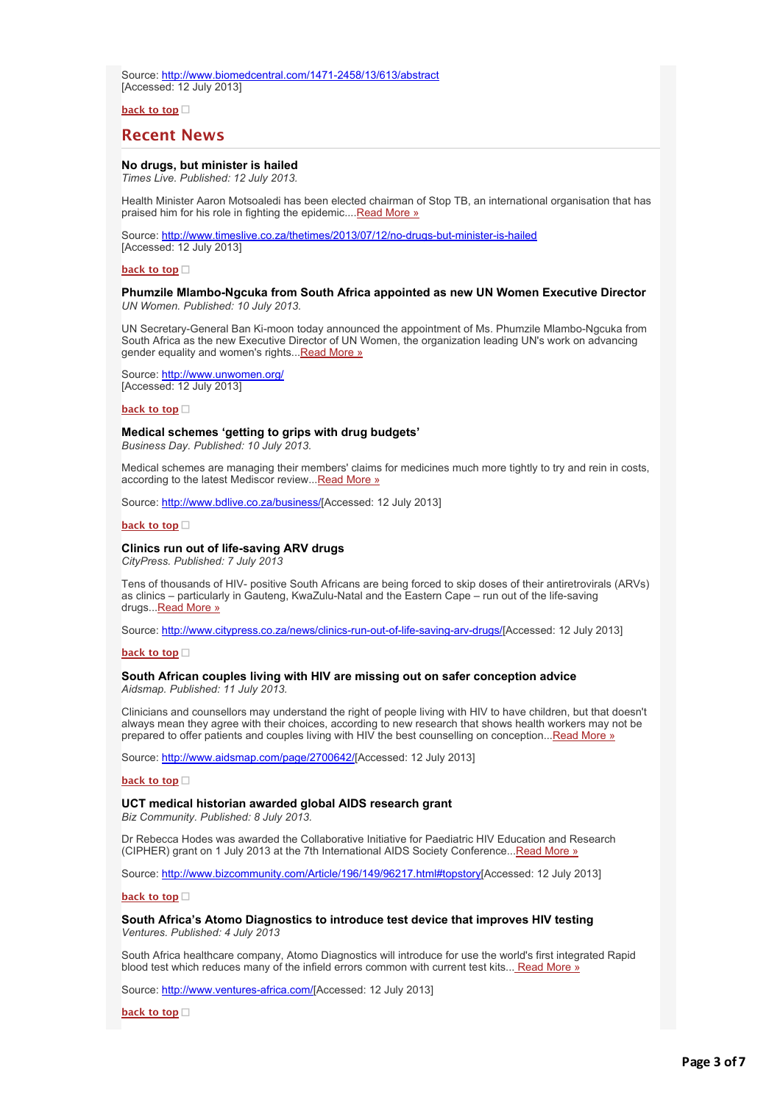Source: [http://www.biomedcentral.com/1471-2458/13/613/abstract](http://bulletin.hst.org.za//lt.php?id=K09TClZUVQMFSlNRAUUHC1NR) [Accessed: 12 July 2013]

**[back to top](applewebdata://B2751FF9-523A-44D4-8B16-A9B639964B17#top)**

# **Recent News**

# **No drugs, but minister is hailed**

*Times Live. Published: 12 July 2013.*

Health Minister Aaron Motsoaledi has been elected chairman of Stop TB, an international organisation that has praised him for his role in fighting the epidemic...[.Read More »](http://bulletin.hst.org.za//lt.php?id=K09TClZUVAQHSlNRAUUHC1NR)

Source: [http://www.timeslive.co.za/thetimes/2013/07/12/no-drugs-but-minister-is-hailed](http://bulletin.hst.org.za//lt.php?id=K09TClZUVAQGSlNRAUUHC1NR) [Accessed: 12 July 2013]

#### **[back to top](applewebdata://B2751FF9-523A-44D4-8B16-A9B639964B17#top)**

#### **Phumzile Mlambo-Ngcuka from South Africa appointed as new UN Women Executive Director** *UN Women. Published: 10 July 2013.*

UN Secretary-General Ban Ki-moon today announced the appointment of Ms. Phumzile Mlambo-Ngcuka from South Africa as the new Executive Director of UN Women, the organization leading UN's work on advancing gender equality and women's rights... Read More »

Source: [http://www.unwomen.org/](http://bulletin.hst.org.za//lt.php?id=K09TClZUVAYASlNRAUUHC1NR) [Accessed: 12 July 2013]

**[back to top](applewebdata://B2751FF9-523A-44D4-8B16-A9B639964B17#top)**

#### **Medical schemes 'getting to grips with drug budgets'**

*Business Day. Published: 10 July 2013.*

Medical schemes are managing their members' claims for medicines much more tightly to try and rein in costs, according to the latest Mediscor review... Read More »

Source: [http://www.bdlive.co.za/business/\[](http://bulletin.hst.org.za//lt.php?id=K09TClZUVQMOSlNRAUUHC1NR)Accessed: 12 July 2013]

#### **[back to top](applewebdata://B2751FF9-523A-44D4-8B16-A9B639964B17#top)**

#### **Clinics run out of life-saving ARV drugs**

*CityPress. Published: 7 July 2013*

Tens of thousands of HIV- positive South Africans are being forced to skip doses of their antiretrovirals (ARVs) as clinics – particularly in Gauteng, KwaZulu-Natal and the Eastern Cape – run out of the life-saving drugs... Read More »

Source: [http://www.citypress.co.za/news/clinics-run-out-of-life-saving-arv-drugs/\[](http://bulletin.hst.org.za//lt.php?id=K09TClZUVQAGSlNRAUUHC1NR)Accessed: 12 July 2013]

#### **[back to top](applewebdata://B2751FF9-523A-44D4-8B16-A9B639964B17#top)**

#### **South African couples living with HIV are missing out on safer conception advice** *Aidsmap. Published: 11 July 2013.*

Clinicians and counsellors may understand the right of people living with HIV to have children, but that doesn't always mean they agree with their choices, according to new research that shows health workers may not be prepared to offer patients and couples living with HIV the best counselling on conception..[.Read More »](http://bulletin.hst.org.za//lt.php?id=K09TClZUVQAFSlNRAUUHC1NR)

Source: [http://www.aidsmap.com/page/2700642/\[](http://bulletin.hst.org.za//lt.php?id=K09TClZUVQAESlNRAUUHC1NR)Accessed: 12 July 2013]

# **[back to top](applewebdata://B2751FF9-523A-44D4-8B16-A9B639964B17#top)**

# **UCT medical historian awarded global AIDS research grant**

*Biz Community. Published: 8 July 2013.*

Dr Rebecca Hodes was awarded the Collaborative Initiative for Paediatric HIV Education and Research (CIPHER) grant on 1 July 2013 at the 7th International AIDS Society Conference... [Read More »](http://bulletin.hst.org.za//lt.php?id=K09TClZUVQADSlNRAUUHC1NR)

Source: [http://www.bizcommunity.com/Article/196/149/96217.html#topstory\[](http://bulletin.hst.org.za//lt.php?id=K09TClZUVQACSlNRAUUHC1NR)Accessed: 12 July 2013]

# **[back to top](applewebdata://B2751FF9-523A-44D4-8B16-A9B639964B17#top)**

# **South Africa's Atomo Diagnostics to introduce test device that improves HIV testing** *Ventures. Published: 4 July 2013*

South Africa healthcare company, Atomo Diagnostics will introduce for use the world's first integrated Rapid blood test which reduces many of the infield errors common with current test kits..[. Read More »](http://bulletin.hst.org.za//lt.php?id=K09TClZUVQAPSlNRAUUHC1NR)

Source: [http://www.ventures-africa.com/\[](http://bulletin.hst.org.za//lt.php?id=K09TClZUVQAOSlNRAUUHC1NR)Accessed: 12 July 2013]

**[back to top](applewebdata://B2751FF9-523A-44D4-8B16-A9B639964B17#top)**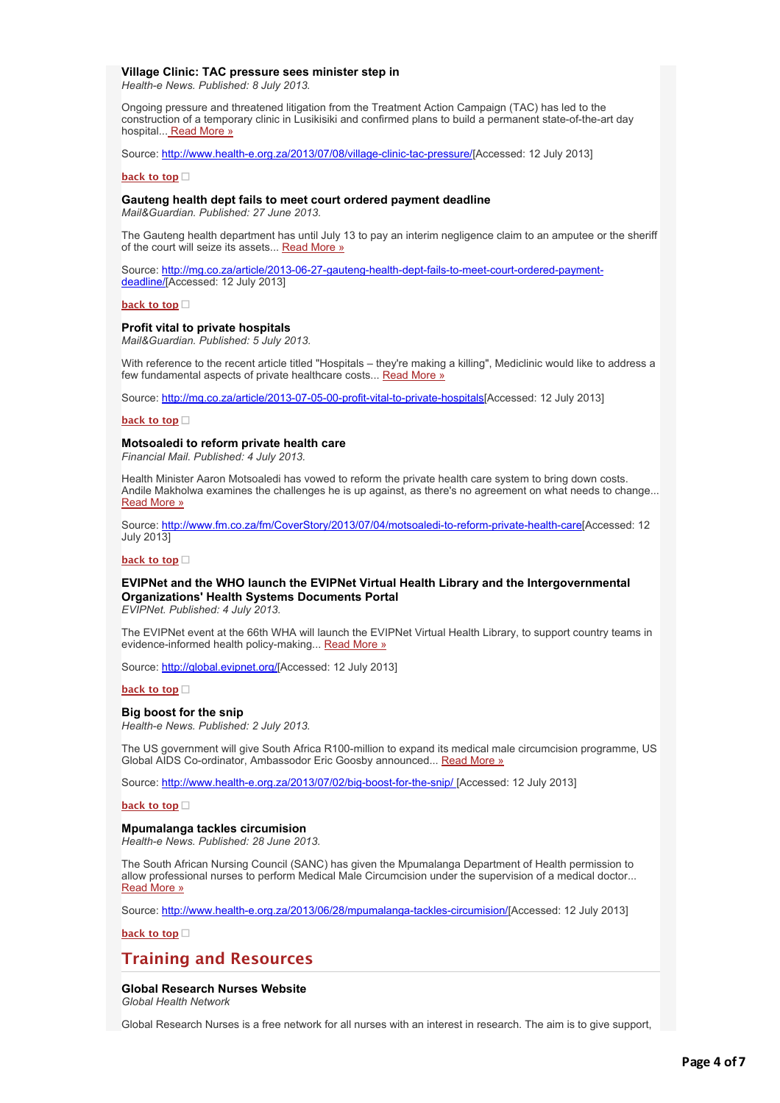#### **Village Clinic: TAC pressure sees minister step in**

*Health-e News. Published: 8 July 2013.*

Ongoing pressure and threatened litigation from the Treatment Action Campaign (TAC) has led to the construction of a temporary clinic in Lusikisiki and confirmed plans to build a permanent state-of-the-art day hospital..[. Read More »](http://bulletin.hst.org.za//lt.php?id=K09TClZUVQEHSlNRAUUHC1NR)

Source: [http://www.health-e.org.za/2013/07/08/village-clinic-tac-pressure/\[](http://bulletin.hst.org.za//lt.php?id=K09TClZUVQEGSlNRAUUHC1NR)Accessed: 12 July 2013]

#### **[back to top](applewebdata://B2751FF9-523A-44D4-8B16-A9B639964B17#top)**

#### **Gauteng health dept fails to meet court ordered payment deadline**

*Mail&Guardian. Published: 27 June 2013.*

The Gauteng health department has until July 13 to pay an interim negligence claim to an amputee or the sheriff of the court will seize its assets... [Read More »](http://bulletin.hst.org.za//lt.php?id=K09TClZUVQEFSlNRAUUHC1NR)

[Source: http://mg.co.za/article/2013-06-27-gauteng-health-dept-fails-to-meet-court-ordered-payment](http://bulletin.hst.org.za//lt.php?id=K09TClZUVQEESlNRAUUHC1NR)deadline/[Accessed: 12 July 2013]

#### **[back to top](applewebdata://B2751FF9-523A-44D4-8B16-A9B639964B17#top)**

#### **Profit vital to private hospitals**

*Mail&Guardian. Published: 5 July 2013.*

With reference to the recent article titled "Hospitals – they're making a killing", Mediclinic would like to address a few fundamental aspects of private healthcare costs... [Read More »](http://bulletin.hst.org.za//lt.php?id=K09TClZUVQEDSlNRAUUHC1NR)

Source: [http://mg.co.za/article/2013-07-05-00-profit-vital-to-private-hospitals\[](http://bulletin.hst.org.za//lt.php?id=K09TClZUVQECSlNRAUUHC1NR)Accessed: 12 July 2013]

#### **[back to top](applewebdata://B2751FF9-523A-44D4-8B16-A9B639964B17#top)**

#### **Motsoaledi to reform private health care**

*Financial Mail. Published: 4 July 2013.*

Health Minister Aaron Motsoaledi has vowed to reform the private health care system to bring down costs. Andile Makholwa examines the challenges he is up against, as there's no agreement on what needs to change... [Read More »](http://bulletin.hst.org.za//lt.php?id=K09TClZUVQEBSlNRAUUHC1NR)

Source: [http://www.fm.co.za/fm/CoverStory/2013/07/04/motsoaledi-to-reform-private-health-care\[](http://bulletin.hst.org.za//lt.php?id=K09TClZUVQEASlNRAUUHC1NR)Accessed: 12 July 2013]

#### **[back to top](applewebdata://B2751FF9-523A-44D4-8B16-A9B639964B17#top)**

# **EVIPNet and the WHO launch the EVIPNet Virtual Health Library and the Intergovernmental Organizations' Health Systems Documents Portal**

*EVIPNet. Published: 4 July 2013.*

The EVIPNet event at the 66th WHA will launch the EVIPNet Virtual Health Library, to support country teams in evidence-informed health policy-making... [Read More »](http://bulletin.hst.org.za//lt.php?id=K09TClZUVQEPSlNRAUUHC1NR)

Source: [http://global.evipnet.org/\[](http://bulletin.hst.org.za//lt.php?id=K09TClZUVAYOSlNRAUUHC1NR)Accessed: 12 July 2013]

#### **[back to top](applewebdata://B2751FF9-523A-44D4-8B16-A9B639964B17#top)**

**Big boost for the snip** *Health-e News. Published: 2 July 2013.*

The US government will give South Africa R100-million to expand its medical male circumcision programme, US Global AIDS Co-ordinator, Ambassodor Eric Goosby announced... [Read More »](http://bulletin.hst.org.za//lt.php?id=K09TClZUVQ4HSlNRAUUHC1NR)

Source: [http://www.health-e.org.za/2013/07/02/big-boost-for-the-snip/](http://bulletin.hst.org.za//lt.php?id=K09TClZUVQ4GSlNRAUUHC1NR) [Accessed: 12 July 2013]

**[back to top](applewebdata://B2751FF9-523A-44D4-8B16-A9B639964B17#top)**

#### **Mpumalanga tackles circumision**

*Health-e News. Published: 28 June 2013.*

The South African Nursing Council (SANC) has given the Mpumalanga Department of Health permission to allow professional nurses to perform Medical Male Circumcision under the supervision of a medical doctor... [Read More »](http://bulletin.hst.org.za//lt.php?id=K09TClZUVQ4FSlNRAUUHC1NR)

Source: [http://www.health-e.org.za/2013/06/28/mpumalanga-tackles-circumision/\[](http://bulletin.hst.org.za//lt.php?id=K09TClZUVQ4ESlNRAUUHC1NR)Accessed: 12 July 2013]

#### **[back to top](applewebdata://B2751FF9-523A-44D4-8B16-A9B639964B17#top)**

# **Training and Resources**

# **Global Research Nurses Website**

*Global Health Network*

Global Research Nurses is a free network for all nurses with an interest in research. The aim is to give support,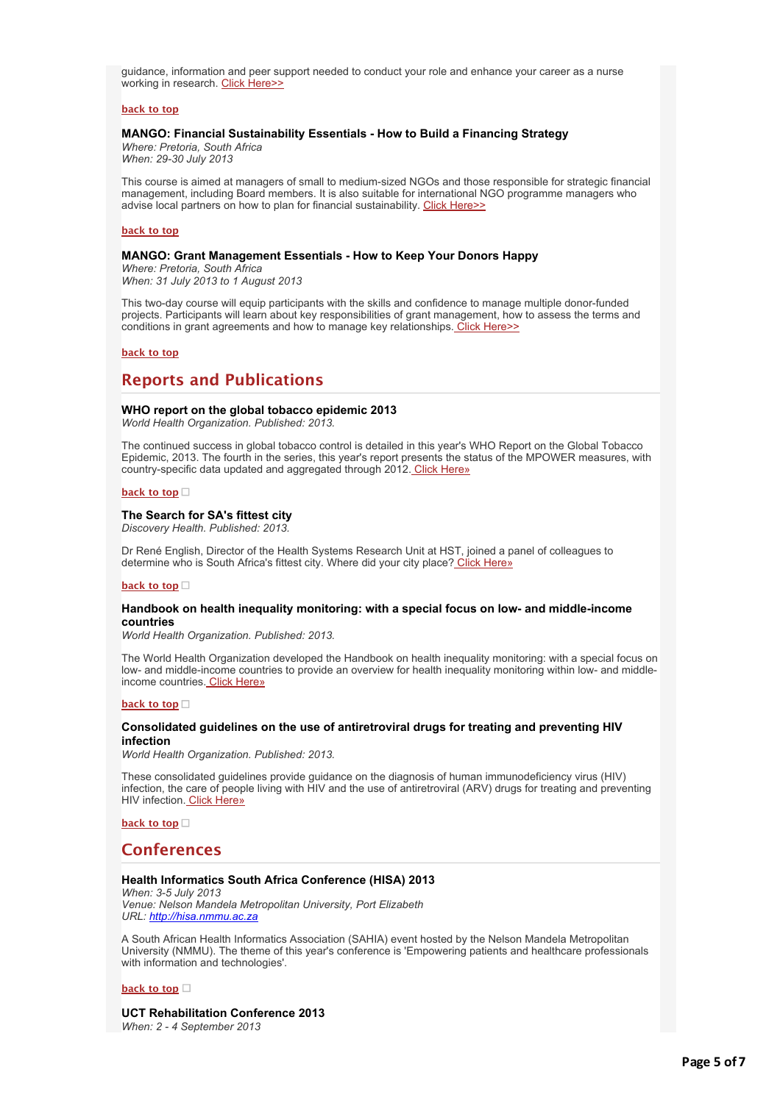guidance, information and peer support needed to conduct your role and enhance your career as a nurse working in research. [Click Here>>](http://bulletin.hst.org.za//lt.php?id=K09TClZUVAcHSlNRAUUHC1NR)

# **[back to top](applewebdata://B2751FF9-523A-44D4-8B16-A9B639964B17#top)**

# **MANGO: Financial Sustainability Essentials - How to Build a Financing Strategy**

*Where: Pretoria, South Africa When: 29-30 July 2013*

This course is aimed at managers of small to medium-sized NGOs and those responsible for strategic financial management, including Board members. It is also suitable for international NGO programme managers who advise local partners on how to plan for financial sustainability. [Click Here>>](http://bulletin.hst.org.za//lt.php?id=K09TClZUVAcGSlNRAUUHC1NR)

#### **[back to top](applewebdata://B2751FF9-523A-44D4-8B16-A9B639964B17#top)**

# **MANGO: Grant Management Essentials - How to Keep Your Donors Happy**

*Where: Pretoria, South Africa When: 31 July 2013 to 1 August 2013*

This two-day course will equip participants with the skills and confidence to manage multiple donor-funded projects. Participants will learn about key responsibilities of grant management, how to assess the terms and conditions in grant agreements and how to manage key relationships[. Click Here>>](http://bulletin.hst.org.za//lt.php?id=K09TClZUVAcFSlNRAUUHC1NR)

#### **[back to top](applewebdata://B2751FF9-523A-44D4-8B16-A9B639964B17#top)**

# **Reports and Publications**

# **WHO report on the global tobacco epidemic 2013**

*World Health Organization. Published: 2013.*

The continued success in global tobacco control is detailed in this year's WHO Report on the Global Tobacco Epidemic, 2013. The fourth in the series, this year's report presents the status of the MPOWER measures, with country-specific data updated and aggregated through 2012[. Click Here»](http://bulletin.hst.org.za//lt.php?id=K09TClZUVQ4PSlNRAUUHC1NR)

#### **[back to top](applewebdata://B2751FF9-523A-44D4-8B16-A9B639964B17#top)**

# **The Search for SA's fittest city**

*Discovery Health. Published: 2013.*

Dr René English, Director of the Health Systems Research Unit at HST, joined a panel of colleagues to determine who is South Africa's fittest city. Where did your city place? [Click Here»](http://bulletin.hst.org.za//lt.php?id=K09TClZUVQ4OSlNRAUUHC1NR)

#### **[back to top](applewebdata://B2751FF9-523A-44D4-8B16-A9B639964B17#top)**

# **Handbook on health inequality monitoring: with a special focus on low- and middle-income countries**

*World Health Organization. Published: 2013.*

The World Health Organization developed the Handbook on health inequality monitoring: with a special focus on low- and middle-income countries to provide an overview for health inequality monitoring within low- and middleincome countries[. Click Here»](http://bulletin.hst.org.za//lt.php?id=K09TClZUVQ8HSlNRAUUHC1NR)

#### **[back to top](applewebdata://B2751FF9-523A-44D4-8B16-A9B639964B17#top)**

# **Consolidated guidelines on the use of antiretroviral drugs for treating and preventing HIV infection**

*World Health Organization. Published: 2013.*

These consolidated guidelines provide guidance on the diagnosis of human immunodeficiency virus (HIV) infection, the care of people living with HIV and the use of antiretroviral (ARV) drugs for treating and preventing HIV infection. [Click Here»](http://bulletin.hst.org.za//lt.php?id=K09TClZUVQ8GSlNRAUUHC1NR)

# **[back to top](applewebdata://B2751FF9-523A-44D4-8B16-A9B639964B17#top)**

# **Conferences**

# **Health Informatics South Africa Conference (HISA) 2013**

*When: 3-5 July 2013 Venue: Nelson Mandela Metropolitan University, Port Elizabeth URL: [http://hisa.nmmu.ac.za](http://bulletin.hst.org.za//lt.php?id=K09TClZUVQ8FSlNRAUUHC1NR)*

A South African Health Informatics Association (SAHIA) event hosted by the Nelson Mandela Metropolitan University (NMMU). The theme of this year's conference is 'Empowering patients and healthcare professionals with information and technologies'.

#### **[back to top](applewebdata://B2751FF9-523A-44D4-8B16-A9B639964B17#top)**

# **UCT Rehabilitation Conference 2013**

*When: 2 - 4 September 2013*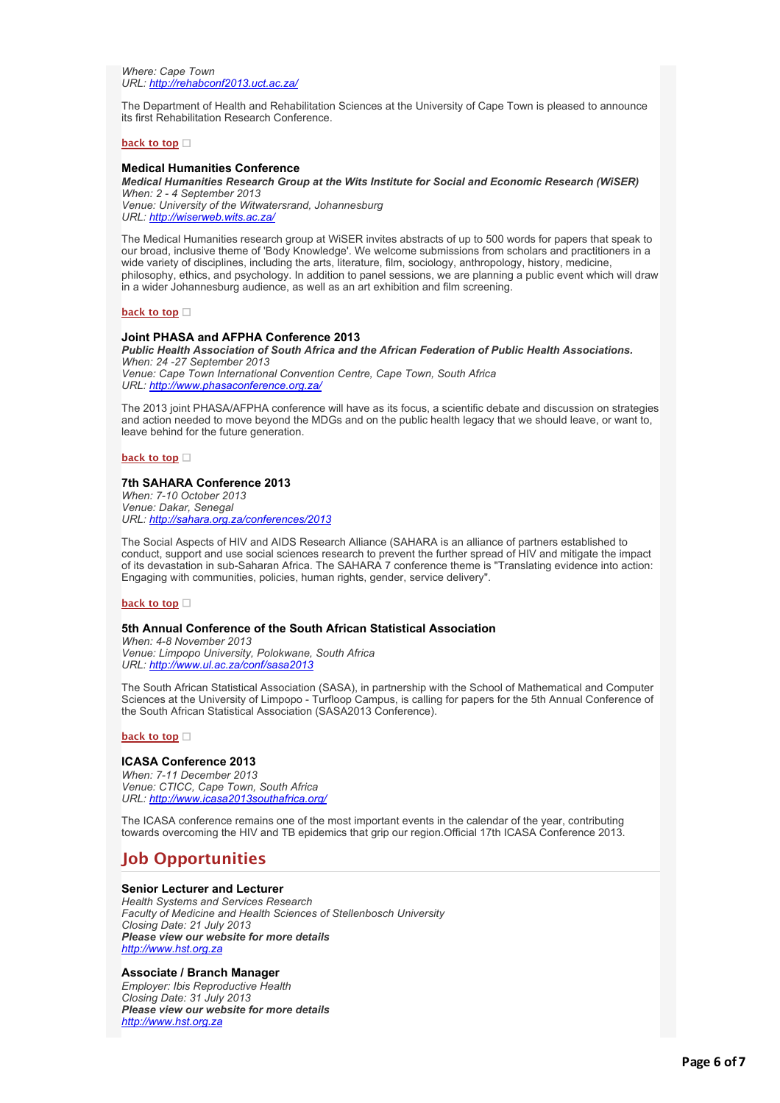*Where: Cape Town URL: [http://rehabconf2013.uct.ac.za/](http://bulletin.hst.org.za//lt.php?id=K09TClZUVQ8ESlNRAUUHC1NR)*

The Department of Health and Rehabilitation Sciences at the University of Cape Town is pleased to announce its first Rehabilitation Research Conference.

#### **[back to top](applewebdata://B2751FF9-523A-44D4-8B16-A9B639964B17#top)**

# **Medical Humanities Conference**

*Medical Humanities Research Group at the Wits Institute for Social and Economic Research (WiSER) When: 2 - 4 September 2013*

*Venue: University of the Witwatersrand, Johannesburg URL: [http://wiserweb.wits.ac.za/](http://bulletin.hst.org.za//lt.php?id=K09TClZUVQ8DSlNRAUUHC1NR)*

The Medical Humanities research group at WiSER invites abstracts of up to 500 words for papers that speak to our broad, inclusive theme of 'Body Knowledge'. We welcome submissions from scholars and practitioners in a wide variety of disciplines, including the arts, literature, film, sociology, anthropology, history, medicine, philosophy, ethics, and psychology. In addition to panel sessions, we are planning a public event which will draw in a wider Johannesburg audience, as well as an art exhibition and film screening.

# **[back to top](applewebdata://B2751FF9-523A-44D4-8B16-A9B639964B17#top)**

# **Joint PHASA and AFPHA Conference 2013**

*Public Health Association of South Africa and the African Federation of Public Health Associations. When: 24 -27 September 2013 Venue: Cape Town International Convention Centre, Cape Town, South Africa*

*URL: [http://www.phasaconference.org.za/](http://bulletin.hst.org.za//lt.php?id=K09TClZUVQ8CSlNRAUUHC1NR)*

The 2013 joint PHASA/AFPHA conference will have as its focus, a scientific debate and discussion on strategies and action needed to move beyond the MDGs and on the public health legacy that we should leave, or want to, leave behind for the future generation.

#### **[back to top](applewebdata://B2751FF9-523A-44D4-8B16-A9B639964B17#top)**

# **7th SAHARA Conference 2013**

*When: 7-10 October 2013 Venue: Dakar, Senegal URL: [http://sahara.org.za/conferences/2013](http://bulletin.hst.org.za//lt.php?id=K09TClZUVQ8BSlNRAUUHC1NR)*

The Social Aspects of HIV and AIDS Research Alliance (SAHARA is an alliance of partners established to conduct, support and use social sciences research to prevent the further spread of HIV and mitigate the impact of its devastation in sub-Saharan Africa. The SAHARA 7 conference theme is "Translating evidence into action: Engaging with communities, policies, human rights, gender, service delivery".

#### **[back to top](applewebdata://B2751FF9-523A-44D4-8B16-A9B639964B17#top)**

# **5th Annual Conference of the South African Statistical Association**

*When: 4-8 November 2013 Venue: Limpopo University, Polokwane, South Africa URL: [http://www.ul.ac.za/conf/sasa2013](http://bulletin.hst.org.za//lt.php?id=K09TClZUVQ8ASlNRAUUHC1NR)*

The South African Statistical Association (SASA), in partnership with the School of Mathematical and Computer Sciences at the University of Limpopo - Turfloop Campus, is calling for papers for the 5th Annual Conference of the South African Statistical Association (SASA2013 Conference).

#### **[back to top](applewebdata://B2751FF9-523A-44D4-8B16-A9B639964B17#top)**

# **ICASA Conference 2013**

*When: 7-11 December 2013 Venue: CTICC, Cape Town, South Africa URL: [http://www.icasa2013southafrica.org/](http://bulletin.hst.org.za//lt.php?id=K09TClZUVAcESlNRAUUHC1NR)*

The ICASA conference remains one of the most important events in the calendar of the year, contributing towards overcoming the HIV and TB epidemics that grip our region.Official 17th ICASA Conference 2013.

# **Job Opportunities**

# **Senior Lecturer and Lecturer**

*Health Systems and Services Research Faculty of Medicine and Health Sciences of Stellenbosch University Closing Date: 21 July 2013 Please view our website for more details [http://www.hst.org.za](http://bulletin.hst.org.za//lt.php?id=K09TClZUVAQFSlNRAUUHC1NR)*

# **Associate / Branch Manager**

*Employer: Ibis Reproductive Health Closing Date: 31 July 2013 Please view our website for more details [http://www.hst.org.za](http://bulletin.hst.org.za//lt.php?id=K09TClZUVAcCSlNRAUUHC1NR)*